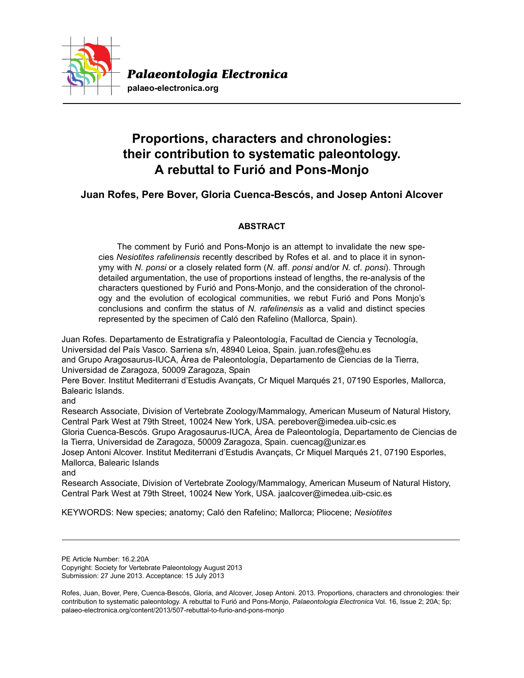

# **Proportions, characters and chronologies: their contribution to systematic paleontology. A rebuttal to Furió and Pons-Monjo**

## **Juan Rofes, Pere Bover, Gloria Cuenca-Bescós, and Josep Antoni Alcover**

## **ABSTRACT**

The comment by Furió and Pons-Monjo is an attempt to invalidate the new species *Nesiotites rafelinensis* recently described by Rofes et al. and to place it in synonymy with *N. ponsi* or a closely related form (*N.* aff. *ponsi* and/or *N.* cf. *ponsi*). Through detailed argumentation, the use of proportions instead of lengths, the re-analysis of the characters questioned by Furió and Pons-Monjo, and the consideration of the chronology and the evolution of ecological communities, we rebut Furió and Pons Monjo's conclusions and confirm the status of *N. rafelinensis* as a valid and distinct species represented by the specimen of Caló den Rafelino (Mallorca, Spain).

Juan Rofes. Departamento de Estratigrafía y Paleontología, Facultad de Ciencia y Tecnología, Universidad del País Vasco. Sarriena s/n, 48940 Leioa, Spain. juan.rofes@ehu.es and Grupo Aragosaurus-IUCA, Área de Paleontología, Departamento de Ciencias de la Tierra, Universidad de Zaragoza, 50009 Zaragoza, Spain

Pere Bover. Institut Mediterrani d'Estudis Avançats, Cr Miquel Marqués 21, 07190 Esporles, Mallorca, Balearic Islands.

and

Research Associate, Division of Vertebrate Zoology/Mammalogy, American Museum of Natural History, Central Park West at 79th Street, 10024 New York, USA. perebover@imedea.uib-csic.es

Gloria Cuenca-Bescós. Grupo Aragosaurus-IUCA, Área de Paleontología, Departamento de Ciencias de la Tierra, Universidad de Zaragoza, 50009 Zaragoza, Spain. cuencag@unizar.es

Josep Antoni Alcover. Institut Mediterrani d'Estudis Avançats, Cr Miquel Marqués 21, 07190 Esporles, Mallorca, Balearic Islands

and

Research Associate, Division of Vertebrate Zoology/Mammalogy, American Museum of Natural History, Central Park West at 79th Street, 10024 New York, USA. jaalcover@imedea.uib-csic.es

KEYWORDS: New species; anatomy; Caló den Rafelino; Mallorca; Pliocene; *Nesiotites*

PE Article Number: 16.2.20A

Copyright: Society for Vertebrate Paleontology August 2013 Submission: 27 June 2013. Acceptance: 15 July 2013

Rofes, Juan, Bover, Pere, Cuenca-Bescós, Gloria, and Alcover, Josep Antoni. 2013. Proportions, characters and chronologies: their contribution to systematic paleontology. A rebuttal to Furió and Pons-Monjo, *Palaeontologia Electronica* Vol. 16, Issue 2; 20A; 5p; palaeo-electronica.org/content/2013/507-rebuttal-to-furio-and-pons-monjo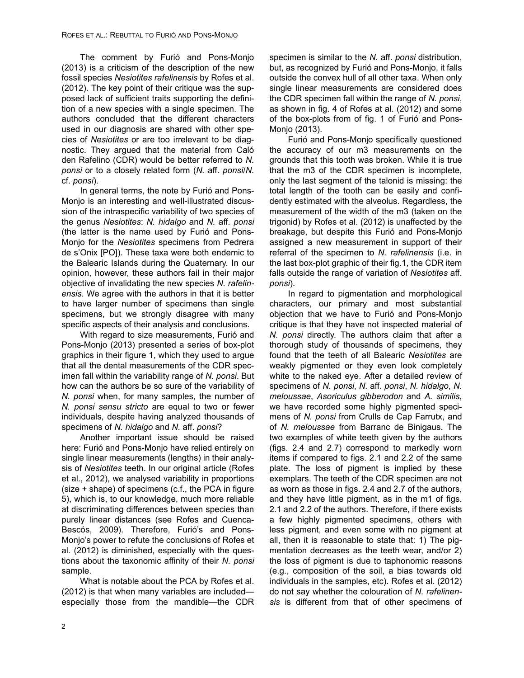The comment by Furió and Pons-Monjo (2013) is a criticism of the description of the new fossil species *Nesiotites rafelinensis* by Rofes et al. (2012). The key point of their critique was the supposed lack of sufficient traits supporting the definition of a new species with a single specimen. The authors concluded that the different characters used in our diagnosis are shared with other species of *Nesiotites* or are too irrelevant to be diagnostic. They argued that the material from Caló den Rafelino (CDR) would be better referred to *N. ponsi* or to a closely related form (*N.* aff. *ponsi*/*N.* cf. *ponsi*).

In general terms, the note by Furió and Pons-Monjo is an interesting and well-illustrated discussion of the intraspecific variability of two species of the genus *Nesiotites*: *N. hidalgo* and *N.* aff. *ponsi* (the latter is the name used by Furió and Pons-Monjo for the *Nesiotites* specimens from Pedrera de s'Onix [PO]). These taxa were both endemic to the Balearic Islands during the Quaternary. In our opinion, however, these authors fail in their major objective of invalidating the new species *N. rafelinensis*. We agree with the authors in that it is better to have larger number of specimens than single specimens, but we strongly disagree with many specific aspects of their analysis and conclusions.

With regard to size measurements, Furió and Pons-Monjo (2013) presented a series of box-plot graphics in their figure 1, which they used to argue that all the dental measurements of the CDR specimen fall within the variability range of *N. ponsi*. But how can the authors be so sure of the variability of *N. ponsi* when, for many samples, the number of *N. ponsi sensu stricto* are equal to two or fewer individuals, despite having analyzed thousands of specimens of *N. hidalgo* and *N.* aff. *ponsi*?

Another important issue should be raised here: Furió and Pons-Monjo have relied entirely on single linear measurements (lengths) in their analysis of *Nesiotites* teeth. In our original article (Rofes et al., 2012), we analysed variability in proportions (size + shape) of specimens (c.f., the PCA in figure 5), which is, to our knowledge, much more reliable at discriminating differences between species than purely linear distances (see Rofes and Cuenca-Bescós, 2009). Therefore, Furió's and Pons-Monjo's power to refute the conclusions of Rofes et al. (2012) is diminished, especially with the questions about the taxonomic affinity of their *N. ponsi* sample.

What is notable about the PCA by Rofes et al. (2012) is that when many variables are included especially those from the mandible—the CDR specimen is similar to the *N.* aff. *ponsi* distribution, but, as recognized by Furió and Pons-Monjo, it falls outside the convex hull of all other taxa. When only single linear measurements are considered does the CDR specimen fall within the range of *N. ponsi*, as shown in fig. 4 of Rofes at al. (2012) and some of the box-plots from of fig. 1 of Furió and Pons-Monjo (2013).

Furió and Pons-Monjo specifically questioned the accuracy of our m3 measurements on the grounds that this tooth was broken. While it is true that the m3 of the CDR specimen is incomplete, only the last segment of the talonid is missing: the total length of the tooth can be easily and confidently estimated with the alveolus. Regardless, the measurement of the width of the m3 (taken on the trigonid) by Rofes et al. (2012) is unaffected by the breakage, but despite this Furió and Pons-Monjo assigned a new measurement in support of their referral of the specimen to *N. rafelinensis* (i.e. in the last box-plot graphic of their fig.1, the CDR item falls outside the range of variation of *Nesiotites* aff. *ponsi*).

In regard to pigmentation and morphological characters, our primary and most substantial objection that we have to Furió and Pons-Monjo critique is that they have not inspected material of *N. ponsi* directly. The authors claim that after a thorough study of thousands of specimens, they found that the teeth of all Balearic *Nesiotites* are weakly pigmented or they even look completely white to the naked eye. After a detailed review of specimens of *N. ponsi*, *N.* aff. *ponsi*, *N. hidalgo*, *N. meloussae*, *Asoriculus gibberodon* and *A. similis*, we have recorded some highly pigmented specimens of *N. ponsi* from Crulls de Cap Farrutx, and of *N. meloussae* from Barranc de Binigaus. The two examples of white teeth given by the authors (figs. 2.4 and 2.7) correspond to markedly worn items if compared to figs. 2.1 and 2.2 of the same plate. The loss of pigment is implied by these exemplars. The teeth of the CDR specimen are not as worn as those in figs. 2.4 and 2.7 of the authors, and they have little pigment, as in the m1 of figs. 2.1 and 2.2 of the authors. Therefore, if there exists a few highly pigmented specimens, others with less pigment, and even some with no pigment at all, then it is reasonable to state that: 1) The pigmentation decreases as the teeth wear, and/or 2) the loss of pigment is due to taphonomic reasons (e.g., composition of the soil, a bias towards old individuals in the samples, etc). Rofes et al. (2012) do not say whether the colouration of *N. rafelinensis* is different from that of other specimens of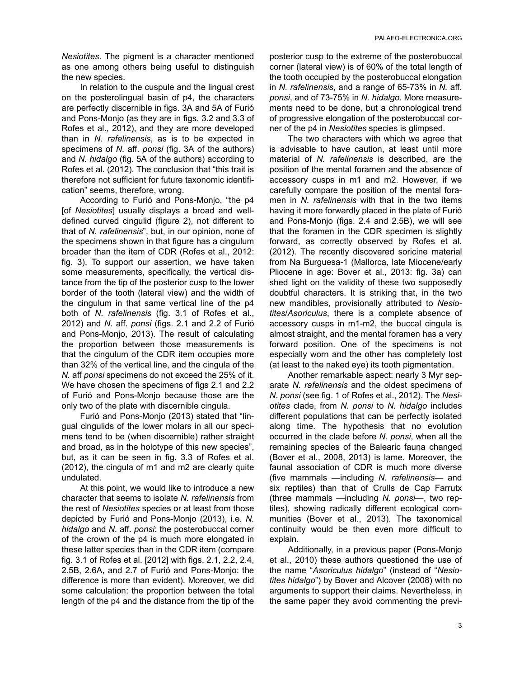*Nesiotites*. The pigment is a character mentioned as one among others being useful to distinguish the new species.

In relation to the cuspule and the lingual crest on the posterolingual basin of p4, the characters are perfectly discernible in figs. 3A and 5A of Furió and Pons-Monjo (as they are in figs. 3.2 and 3.3 of Rofes et al., 2012), and they are more developed than in *N. rafelinensis*, as is to be expected in specimens of *N.* aff. *ponsi* (fig. 3A of the authors) and *N. hidalgo* (fig. 5A of the authors) according to Rofes et al. (2012). The conclusion that "this trait is therefore not sufficient for future taxonomic identification" seems, therefore, wrong.

According to Furió and Pons-Monjo, "the p4 [of *Nesiotites*] usually displays a broad and welldefined curved cingulid (figure 2), not different to that of *N. rafelinensis*", but, in our opinion, none of the specimens shown in that figure has a cingulum broader than the item of CDR (Rofes et al., 2012: fig. 3). To support our assertion, we have taken some measurements, specifically, the vertical distance from the tip of the posterior cusp to the lower border of the tooth (lateral view) and the width of the cingulum in that same vertical line of the p4 both of *N. rafelinensis* (fig. 3.1 of Rofes et al., 2012) and *N.* aff. *ponsi* (figs. 2.1 and 2.2 of Furió and Pons-Monjo, 2013). The result of calculating the proportion between those measurements is that the cingulum of the CDR item occupies more than 32% of the vertical line, and the cingula of the *N.* aff *ponsi* specimens do not exceed the 25% of it. We have chosen the specimens of figs 2.1 and 2.2 of Furió and Pons-Monjo because those are the only two of the plate with discernible cingula.

Furió and Pons-Monjo (2013) stated that "lingual cingulids of the lower molars in all our specimens tend to be (when discernible) rather straight and broad, as in the holotype of this new species", but, as it can be seen in fig. 3.3 of Rofes et al. (2012), the cingula of m1 and m2 are clearly quite undulated.

At this point, we would like to introduce a new character that seems to isolate *N. rafelinensis* from the rest of *Nesiotites* species or at least from those depicted by Furió and Pons-Monjo (2013), i.e. *N. hidalgo* and *N.* aff. *ponsi*: the posterobuccal corner of the crown of the p4 is much more elongated in these latter species than in the CDR item (compare fig. 3.1 of Rofes et al. [2012] with figs. 2.1, 2.2, 2.4, 2.5B, 2.6A, and 2.7 of Furió and Pons-Monjo: the difference is more than evident). Moreover, we did some calculation: the proportion between the total length of the p4 and the distance from the tip of the

posterior cusp to the extreme of the posterobuccal corner (lateral view) is of 60% of the total length of the tooth occupied by the posterobuccal elongation in *N. rafelinensis*, and a range of 65-73% in *N.* aff. *ponsi*, and of 73-75% in *N. hidalgo*. More measurements need to be done, but a chronological trend of progressive elongation of the posterobuccal corner of the p4 in *Nesiotites* species is glimpsed.

The two characters with which we agree that is advisable to have caution, at least until more material of *N. rafelinensis* is described, are the position of the mental foramen and the absence of accessory cusps in m1 and m2. However, if we carefully compare the position of the mental foramen in *N. rafelinensis* with that in the two items having it more forwardly placed in the plate of Furió and Pons-Monjo (figs. 2.4 and 2.5B), we will see that the foramen in the CDR specimen is slightly forward, as correctly observed by Rofes et al. (2012). The recently discovered soricine material from Na Burguesa-1 (Mallorca, late Miocene/early Pliocene in age: Bover et al., 2013: fig. 3a) can shed light on the validity of these two supposedly doubtful characters. It is striking that, in the two new mandibles, provisionally attributed to *Nesiotites*/*Asoriculus*, there is a complete absence of accessory cusps in m1-m2, the buccal cingula is almost straight, and the mental foramen has a very forward position. One of the specimens is not especially worn and the other has completely lost (at least to the naked eye) its tooth pigmentation.

Another remarkable aspect: nearly 3 Myr separate *N. rafelinensis* and the oldest specimens of *N. ponsi* (see fig. 1 of Rofes et al., 2012). The *Nesiotites* clade, from *N. ponsi* to *N. hidalgo* includes different populations that can be perfectly isolated along time. The hypothesis that no evolution occurred in the clade before *N. ponsi*, when all the remaining species of the Balearic fauna changed (Bover et al., 2008, 2013) is lame. Moreover, the faunal association of CDR is much more diverse (five mammals —including *N. rafelinensis*— and six reptiles) than that of Crulls de Cap Farrutx (three mammals —including *N. ponsi*—, two reptiles), showing radically different ecological communities (Bover et al., 2013). The taxonomical continuity would be then even more difficult to explain.

Additionally, in a previous paper (Pons-Monjo et al., 2010) these authors questioned the use of the name "*Asoriculus hidalgo*" (instead of "*Nesiotites hidalgo*") by Bover and Alcover (2008) with no arguments to support their claims. Nevertheless, in the same paper they avoid commenting the previ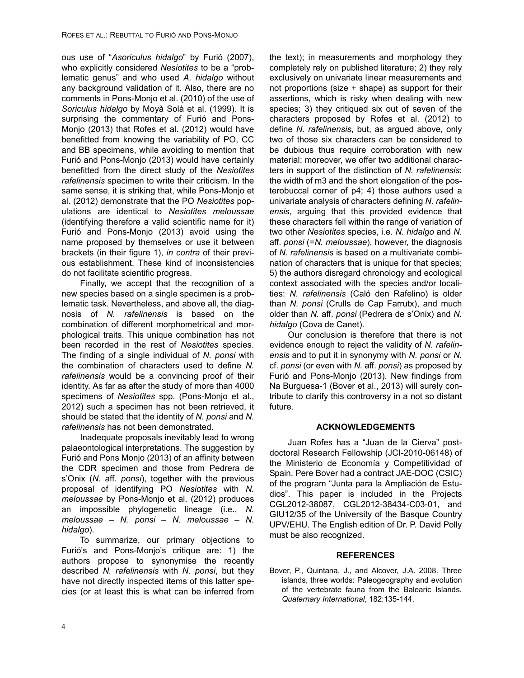ous use of "*Asoriculus hidalgo*" by Furió (2007), who explicitly considered *Nesiotites* to be a "problematic genus" and who used *A. hidalgo* without any background validation of it. Also, there are no comments in Pons-Monjo et al. (2010) of the use of *Soriculus hidalgo* by Moyà Solà et al. (1999). It is surprising the commentary of Furió and Pons-Monjo (2013) that Rofes et al. (2012) would have benefitted from knowing the variability of PO, CC and BB specimens, while avoiding to mention that Furió and Pons-Monjo (2013) would have certainly benefitted from the direct study of the *Nesiotites rafelinensis* specimen to write their criticism. In the same sense, it is striking that, while Pons-Monjo et al. (2012) demonstrate that the PO *Nesiotites* populations are identical to *Nesiotites meloussae* (identifying therefore a valid scientific name for it) Furió and Pons-Monjo (2013) avoid using the name proposed by themselves or use it between brackets (in their figure 1), *in contra* of their previous establishment. These kind of inconsistencies do not facilitate scientific progress.

Finally, we accept that the recognition of a new species based on a single specimen is a problematic task. Nevertheless, and above all, the diagnosis of *N. rafelinensis* is based on the combination of different morphometrical and morphological traits. This unique combination has not been recorded in the rest of *Nesiotites* species. The finding of a single individual of *N. ponsi* with the combination of characters used to define *N. rafelinensis* would be a convincing proof of their identity. As far as after the study of more than 4000 specimens of *Nesiotites* spp. (Pons-Monjo et al., 2012) such a specimen has not been retrieved, it should be stated that the identity of *N. ponsi* and *N. rafelinensis* has not been demonstrated.

Inadequate proposals inevitably lead to wrong palaeontological interpretations. The suggestion by Furió and Pons Monjo (2013) of an affinity between the CDR specimen and those from Pedrera de s'Onix (*N.* aff. *ponsi*), together with the previous proposal of identifying PO *Nesiotites* with *N. meloussae* by Pons-Monjo et al. (2012) produces an impossible phylogenetic lineage (i.e., *N. meloussae – N. ponsi – N. meloussae – N. hidalgo*).

To summarize, our primary objections to Furió's and Pons-Monjo's critique are: 1) the authors propose to synonymise the recently described *N. rafelinensis* with *N. ponsi*, but they have not directly inspected items of this latter species (or at least this is what can be inferred from

the text); in measurements and morphology they completely rely on published literature; 2) they rely exclusively on univariate linear measurements and not proportions (size + shape) as support for their assertions, which is risky when dealing with new species; 3) they critiqued six out of seven of the characters proposed by Rofes et al. (2012) to define *N. rafelinensis*, but, as argued above, only two of those six characters can be considered to be dubious thus require corroboration with new material; moreover, we offer two additional characters in support of the distinction of *N. rafelinensis*: the width of m3 and the short elongation of the posterobuccal corner of p4; 4) those authors used a univariate analysis of characters defining *N. rafelinensis*, arguing that this provided evidence that these characters fell within the range of variation of two other *Nesiotites* species, i.e. *N. hidalgo* and *N.* aff. *ponsi* (=*N. meloussae*), however, the diagnosis of *N. rafelinensis* is based on a multivariate combination of characters that is unique for that species; 5) the authors disregard chronology and ecological context associated with the species and/or localities: *N. rafelinensis* (Caló den Rafelino) is older than *N. ponsi* (Crulls de Cap Farrutx), and much older than *N.* aff. *ponsi* (Pedrera de s'Onix) and *N. hidalgo* (Cova de Canet).

Our conclusion is therefore that there is not evidence enough to reject the validity of *N. rafelinensis* and to put it in synonymy with *N. ponsi* or *N.* cf. *ponsi* (or even with *N.* aff. *ponsi*) as proposed by Furió and Pons-Monjo (2013). New findings from Na Burguesa-1 (Bover et al., 2013) will surely contribute to clarify this controversy in a not so distant future.

### **ACKNOWLEDGEMENTS**

Juan Rofes has a "Juan de la Cierva" postdoctoral Research Fellowship (JCI-2010-06148) of the Ministerio de Economía y Competitividad of Spain. Pere Bover had a contract JAE-DOC (CSIC) of the program "Junta para la Ampliación de Estudios". This paper is included in the Projects CGL2012-38087, CGL2012-38434-C03-01, and GIU12/35 of the University of the Basque Country UPV/EHU. The English edition of Dr. P. David Polly must be also recognized.

### **REFERENCES**

Bover, P., Quintana, J., and Alcover, J.A. 2008. Three islands, three worlds: Paleogeography and evolution of the vertebrate fauna from the Balearic Islands. *Quaternary International*, 182:135-144.